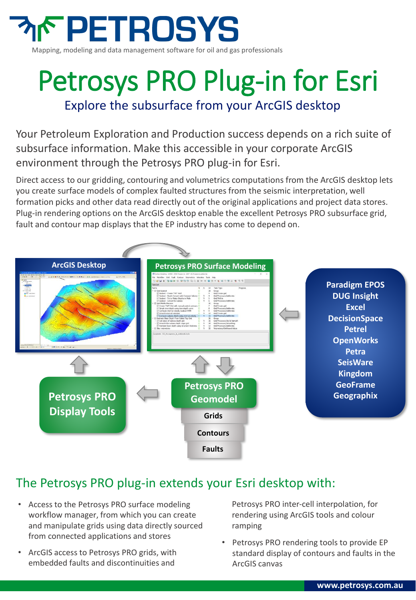

## Petrosys PRO Plug-in for Esri Explore the subsurface from your ArcGIS desktop

Your Petroleum Exploration and Production success depends on a rich suite of subsurface information. Make this accessible in your corporate ArcGIS environment through the Petrosys PRO plug-in for Esri.

Direct access to our gridding, contouring and volumetrics computations from the ArcGIS desktop lets you create surface models of complex faulted structures from the seismic interpretation, well formation picks and other data read directly out of the original applications and project data stores. Plug-in rendering options on the ArcGIS desktop enable the excellent Petrosys PRO subsurface grid, fault and contour map displays that the EP industry has come to depend on.



#### The Petrosys PRO plug-in extends your Esri desktop with:

- Access to the Petrosys PRO surface modeling workflow manager, from which you can create and manipulate grids using data directly sourced from connected applications and stores
- ArcGIS access to Petrosys PRO grids, with embedded faults and discontinuities and

Petrosys PRO inter-cell interpolation, for rendering using ArcGIS tools and colour ramping

• Petrosys PRO rendering tools to provide EP standard display of contours and faults in the ArcGIS canvas